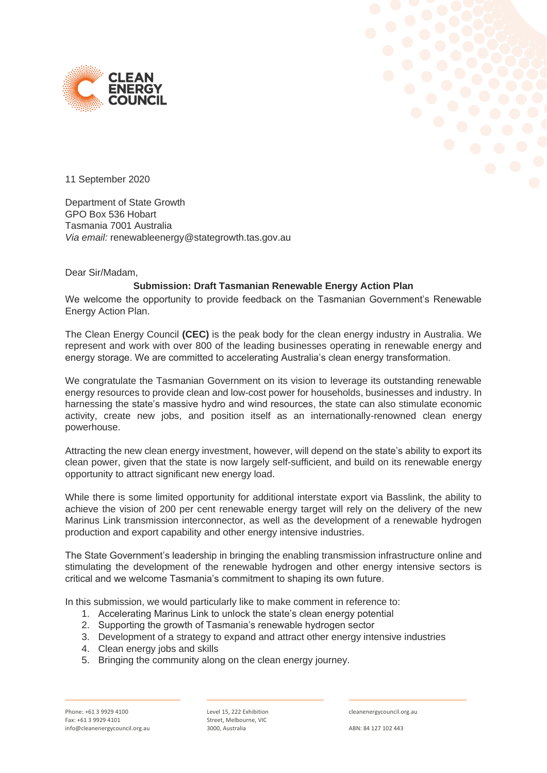



11 September 2020

Department of State Growth GPO Box 536 Hobart Tasmania 7001 Australia *Via email:* renewableenergy@stategrowth.tas.gov.au

Dear Sir/Madam,

#### **Submission: Draft Tasmanian Renewable Energy Action Plan**

We welcome the opportunity to provide feedback on the Tasmanian Government's Renewable Energy Action Plan.

The Clean Energy Council **(CEC)** is the peak body for the clean energy industry in Australia. We represent and work with over 800 of the leading businesses operating in renewable energy and energy storage. We are committed to accelerating Australia's clean energy transformation.

We congratulate the Tasmanian Government on its vision to leverage its outstanding renewable energy resources to provide clean and low-cost power for households, businesses and industry. In harnessing the state's massive hydro and wind resources, the state can also stimulate economic activity, create new jobs, and position itself as an internationally-renowned clean energy powerhouse.

Attracting the new clean energy investment, however, will depend on the state's ability to export its clean power, given that the state is now largely self-sufficient, and build on its renewable energy opportunity to attract significant new energy load.

While there is some limited opportunity for additional interstate export via Basslink, the ability to achieve the vision of 200 per cent renewable energy target will rely on the delivery of the new Marinus Link transmission interconnector, as well as the development of a renewable hydrogen production and export capability and other energy intensive industries.

The State Government's leadership in bringing the enabling transmission infrastructure online and stimulating the development of the renewable hydrogen and other energy intensive sectors is critical and we welcome Tasmania's commitment to shaping its own future.

In this submission, we would particularly like to make comment in reference to:

- 1. Accelerating Marinus Link to unlock the state's clean energy potential
- 2. Supporting the growth of Tasmania's renewable hydrogen sector
- 3. Development of a strategy to expand and attract other energy intensive industries
- 4. Clean energy jobs and skills
- 5. Bringing the community along on the clean energy journey.

Level 15, 222 Exhibition Street, Melbourne, VIC 3000, Australia

cleanenergycouncil.org.au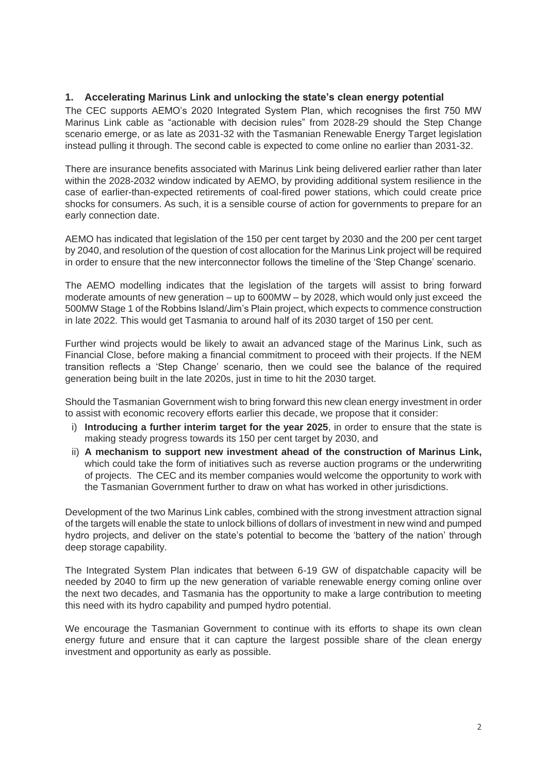### **1. Accelerating Marinus Link and unlocking the state's clean energy potential**

The CEC supports AEMO's 2020 Integrated System Plan, which recognises the first 750 MW Marinus Link cable as "actionable with decision rules" from 2028-29 should the Step Change scenario emerge, or as late as 2031-32 with the Tasmanian Renewable Energy Target legislation instead pulling it through. The second cable is expected to come online no earlier than 2031-32.

There are insurance benefits associated with Marinus Link being delivered earlier rather than later within the 2028-2032 window indicated by AEMO, by providing additional system resilience in the case of earlier-than-expected retirements of coal-fired power stations, which could create price shocks for consumers. As such, it is a sensible course of action for governments to prepare for an early connection date.

AEMO has indicated that legislation of the 150 per cent target by 2030 and the 200 per cent target by 2040, and resolution of the question of cost allocation for the Marinus Link project will be required in order to ensure that the new interconnector follows the timeline of the 'Step Change' scenario.

The AEMO modelling indicates that the legislation of the targets will assist to bring forward moderate amounts of new generation – up to 600MW – by 2028, which would only just exceed the 500MW Stage 1 of the Robbins Island/Jim's Plain project, which expects to commence construction in late 2022. This would get Tasmania to around half of its 2030 target of 150 per cent.

Further wind projects would be likely to await an advanced stage of the Marinus Link, such as Financial Close, before making a financial commitment to proceed with their projects. If the NEM transition reflects a 'Step Change' scenario, then we could see the balance of the required generation being built in the late 2020s, just in time to hit the 2030 target.

Should the Tasmanian Government wish to bring forward this new clean energy investment in order to assist with economic recovery efforts earlier this decade, we propose that it consider:

- i) **Introducing a further interim target for the year 2025**, in order to ensure that the state is making steady progress towards its 150 per cent target by 2030, and
- ii) **A mechanism to support new investment ahead of the construction of Marinus Link,** which could take the form of initiatives such as reverse auction programs or the underwriting of projects. The CEC and its member companies would welcome the opportunity to work with the Tasmanian Government further to draw on what has worked in other jurisdictions.

Development of the two Marinus Link cables, combined with the strong investment attraction signal of the targets will enable the state to unlock billions of dollars of investment in new wind and pumped hydro projects, and deliver on the state's potential to become the 'battery of the nation' through deep storage capability.

The Integrated System Plan indicates that between 6-19 GW of dispatchable capacity will be needed by 2040 to firm up the new generation of variable renewable energy coming online over the next two decades, and Tasmania has the opportunity to make a large contribution to meeting this need with its hydro capability and pumped hydro potential.

We encourage the Tasmanian Government to continue with its efforts to shape its own clean energy future and ensure that it can capture the largest possible share of the clean energy investment and opportunity as early as possible.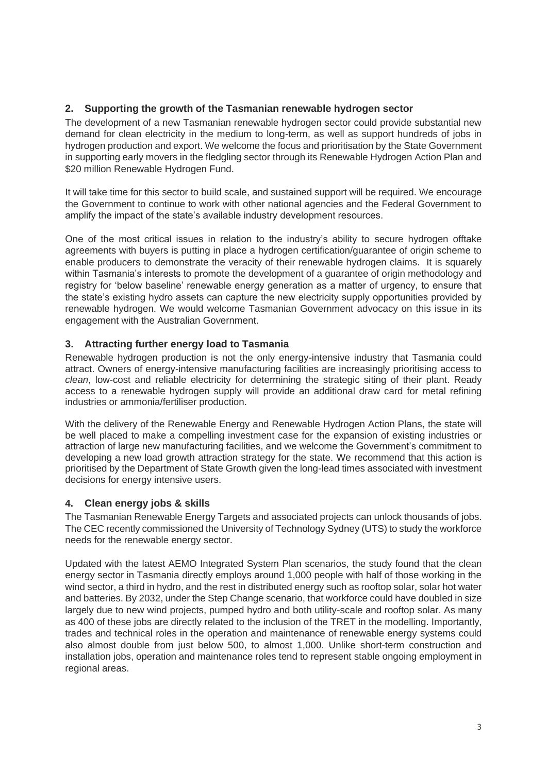# **2. Supporting the growth of the Tasmanian renewable hydrogen sector**

The development of a new Tasmanian renewable hydrogen sector could provide substantial new demand for clean electricity in the medium to long-term, as well as support hundreds of jobs in hydrogen production and export. We welcome the focus and prioritisation by the State Government in supporting early movers in the fledgling sector through its Renewable Hydrogen Action Plan and \$20 million Renewable Hydrogen Fund.

It will take time for this sector to build scale, and sustained support will be required. We encourage the Government to continue to work with other national agencies and the Federal Government to amplify the impact of the state's available industry development resources.

One of the most critical issues in relation to the industry's ability to secure hydrogen offtake agreements with buyers is putting in place a hydrogen certification/guarantee of origin scheme to enable producers to demonstrate the veracity of their renewable hydrogen claims. It is squarely within Tasmania's interests to promote the development of a guarantee of origin methodology and registry for 'below baseline' renewable energy generation as a matter of urgency, to ensure that the state's existing hydro assets can capture the new electricity supply opportunities provided by renewable hydrogen. We would welcome Tasmanian Government advocacy on this issue in its engagement with the Australian Government.

# **3. Attracting further energy load to Tasmania**

Renewable hydrogen production is not the only energy-intensive industry that Tasmania could attract. Owners of energy-intensive manufacturing facilities are increasingly prioritising access to *clean*, low-cost and reliable electricity for determining the strategic siting of their plant. Ready access to a renewable hydrogen supply will provide an additional draw card for metal refining industries or ammonia/fertiliser production.

With the delivery of the Renewable Energy and Renewable Hydrogen Action Plans, the state will be well placed to make a compelling investment case for the expansion of existing industries or attraction of large new manufacturing facilities, and we welcome the Government's commitment to developing a new load growth attraction strategy for the state. We recommend that this action is prioritised by the Department of State Growth given the long-lead times associated with investment decisions for energy intensive users.

### **4. Clean energy jobs & skills**

The Tasmanian Renewable Energy Targets and associated projects can unlock thousands of jobs. The CEC recently commissioned the University of Technology Sydney (UTS) to study the workforce needs for the renewable energy sector.

Updated with the latest AEMO Integrated System Plan scenarios, the study found that the clean energy sector in Tasmania directly employs around 1,000 people with half of those working in the wind sector, a third in hydro, and the rest in distributed energy such as rooftop solar, solar hot water and batteries. By 2032, under the Step Change scenario, that workforce could have doubled in size largely due to new wind projects, pumped hydro and both utility-scale and rooftop solar. As many as 400 of these jobs are directly related to the inclusion of the TRET in the modelling. Importantly, trades and technical roles in the operation and maintenance of renewable energy systems could also almost double from just below 500, to almost 1,000. Unlike short-term construction and installation jobs, operation and maintenance roles tend to represent stable ongoing employment in regional areas.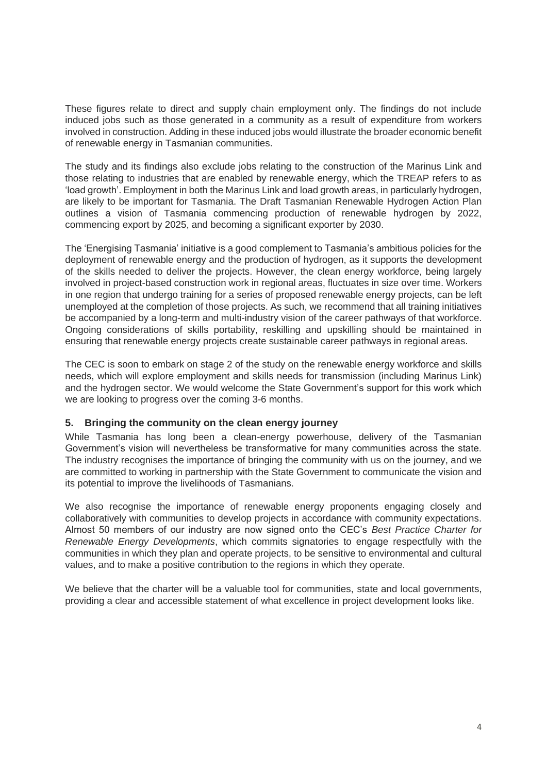These figures relate to direct and supply chain employment only. The findings do not include induced jobs such as those generated in a community as a result of expenditure from workers involved in construction. Adding in these induced jobs would illustrate the broader economic benefit of renewable energy in Tasmanian communities.

The study and its findings also exclude jobs relating to the construction of the Marinus Link and those relating to industries that are enabled by renewable energy, which the TREAP refers to as 'load growth'. Employment in both the Marinus Link and load growth areas, in particularly hydrogen, are likely to be important for Tasmania. The Draft Tasmanian Renewable Hydrogen Action Plan outlines a vision of Tasmania commencing production of renewable hydrogen by 2022, commencing export by 2025, and becoming a significant exporter by 2030.

The 'Energising Tasmania' initiative is a good complement to Tasmania's ambitious policies for the deployment of renewable energy and the production of hydrogen, as it supports the development of the skills needed to deliver the projects. However, the clean energy workforce, being largely involved in project-based construction work in regional areas, fluctuates in size over time. Workers in one region that undergo training for a series of proposed renewable energy projects, can be left unemployed at the completion of those projects. As such, we recommend that all training initiatives be accompanied by a long-term and multi-industry vision of the career pathways of that workforce. Ongoing considerations of skills portability, reskilling and upskilling should be maintained in ensuring that renewable energy projects create sustainable career pathways in regional areas.

The CEC is soon to embark on stage 2 of the study on the renewable energy workforce and skills needs, which will explore employment and skills needs for transmission (including Marinus Link) and the hydrogen sector. We would welcome the State Government's support for this work which we are looking to progress over the coming 3-6 months.

### **5. Bringing the community on the clean energy journey**

While Tasmania has long been a clean-energy powerhouse, delivery of the Tasmanian Government's vision will nevertheless be transformative for many communities across the state. The industry recognises the importance of bringing the community with us on the journey, and we are committed to working in partnership with the State Government to communicate the vision and its potential to improve the livelihoods of Tasmanians.

We also recognise the importance of renewable energy proponents engaging closely and collaboratively with communities to develop projects in accordance with community expectations. Almost 50 members of our industry are now signed onto the CEC's *Best Practice Charter for Renewable Energy Developments*, which commits signatories to engage respectfully with the communities in which they plan and operate projects, to be sensitive to environmental and cultural values, and to make a positive contribution to the regions in which they operate.

We believe that the charter will be a valuable tool for communities, state and local governments, providing a clear and accessible statement of what excellence in project development looks like.